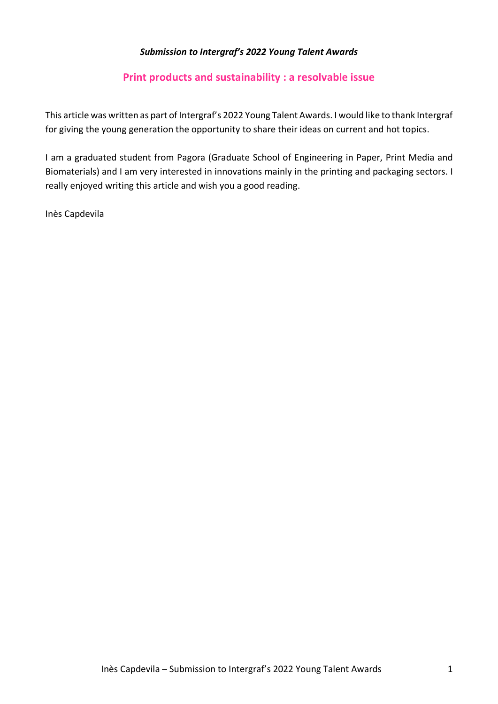## *Submission to Intergraf's 2022 Young Talent Awards*

# **Print products and sustainability : a resolvable issue**

This article was written as part of Intergraf's 2022 Young Talent Awards. I would like to thank Intergraf for giving the young generation the opportunity to share their ideas on current and hot topics.

I am a graduated student from Pagora (Graduate School of Engineering in Paper, Print Media and Biomaterials) and I am very interested in innovations mainly in the printing and packaging sectors. I really enjoyed writing this article and wish you a good reading.

Inès Capdevila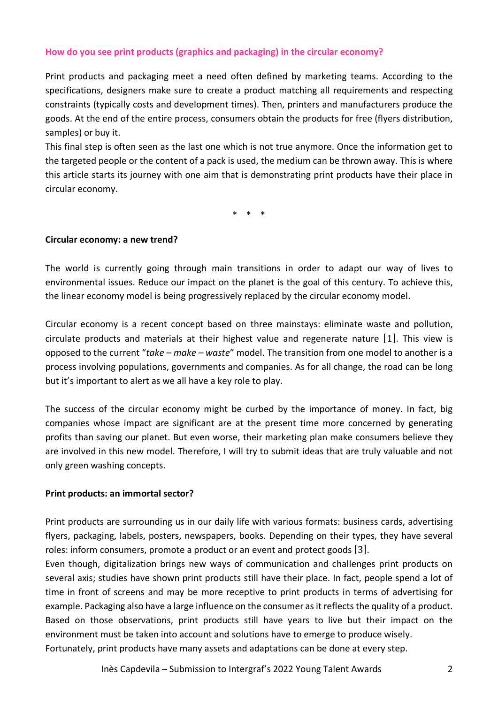## **How do you see print products (graphics and packaging) in the circular economy?**

Print products and packaging meet a need often defined by marketing teams. According to the specifications, designers make sure to create a product matching all requirements and respecting constraints (typically costs and development times). Then, printers and manufacturers produce the goods. At the end of the entire process, consumers obtain the products for free (flyers distribution, samples) or buy it.

This final step is often seen as the last one which is not true anymore. Once the information get to the targeted people or the content of a pack is used, the medium can be thrown away. This is where this article starts its journey with one aim that is demonstrating print products have their place in circular economy.

\* \* \*

#### **Circular economy: a new trend?**

The world is currently going through main transitions in order to adapt our way of lives to environmental issues. Reduce our impact on the planet is the goal of this century. To achieve this, the linear economy model is being progressively replaced by the circular economy model.

Circular economy is a recent concept based on three mainstays: eliminate waste and pollution, circulate products and materials at their highest value and regenerate nature [1]. This view is opposed to the current "*take – make – waste*" model. The transition from one model to another is a process involving populations, governments and companies. As for all change, the road can be long but it's important to alert as we all have a key role to play.

The success of the circular economy might be curbed by the importance of money. In fact, big companies whose impact are significant are at the present time more concerned by generating profits than saving our planet. But even worse, their marketing plan make consumers believe they are involved in this new model. Therefore, I will try to submit ideas that are truly valuable and not only green washing concepts.

#### **Print products: an immortal sector?**

Print products are surrounding us in our daily life with various formats: business cards, advertising flyers, packaging, labels, posters, newspapers, books. Depending on their types, they have several roles: inform consumers, promote a product or an event and protect goods [3].

Even though, digitalization brings new ways of communication and challenges print products on several axis; studies have shown print products still have their place. In fact, people spend a lot of time in front of screens and may be more receptive to print products in terms of advertising for example. Packaging also have a large influence on the consumer as it reflects the quality of a product. Based on those observations, print products still have years to live but their impact on the environment must be taken into account and solutions have to emerge to produce wisely. Fortunately, print products have many assets and adaptations can be done at every step.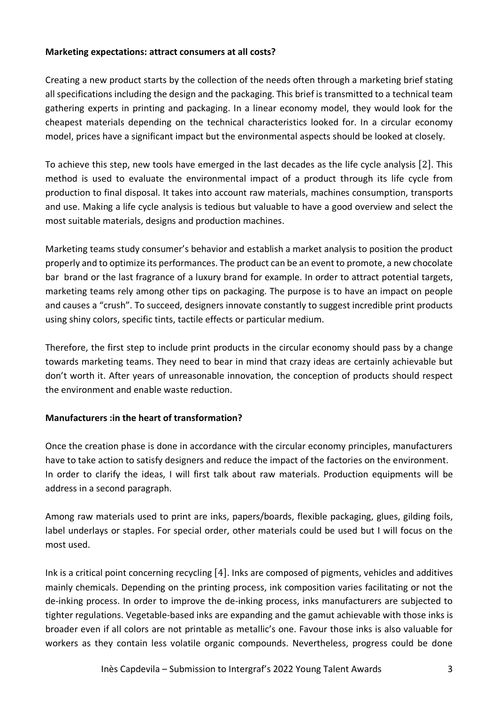### **Marketing expectations: attract consumers at all costs?**

Creating a new product starts by the collection of the needs often through a marketing brief stating all specifications including the design and the packaging. This brief is transmitted to a technical team gathering experts in printing and packaging. In a linear economy model, they would look for the cheapest materials depending on the technical characteristics looked for. In a circular economy model, prices have a significant impact but the environmental aspects should be looked at closely.

To achieve this step, new tools have emerged in the last decades as the life cycle analysis [2]. This method is used to evaluate the environmental impact of a product through its life cycle from production to final disposal. It takes into account raw materials, machines consumption, transports and use. Making a life cycle analysis is tedious but valuable to have a good overview and select the most suitable materials, designs and production machines.

Marketing teams study consumer's behavior and establish a market analysis to position the product properly and to optimize its performances. The product can be an event to promote, a new chocolate bar brand or the last fragrance of a luxury brand for example. In order to attract potential targets, marketing teams rely among other tips on packaging. The purpose is to have an impact on people and causes a "crush". To succeed, designers innovate constantly to suggest incredible print products using shiny colors, specific tints, tactile effects or particular medium.

Therefore, the first step to include print products in the circular economy should pass by a change towards marketing teams. They need to bear in mind that crazy ideas are certainly achievable but don't worth it. After years of unreasonable innovation, the conception of products should respect the environment and enable waste reduction.

## **Manufacturers :in the heart of transformation?**

Once the creation phase is done in accordance with the circular economy principles, manufacturers have to take action to satisfy designers and reduce the impact of the factories on the environment. In order to clarify the ideas, I will first talk about raw materials. Production equipments will be address in a second paragraph.

Among raw materials used to print are inks, papers/boards, flexible packaging, glues, gilding foils, label underlays or staples. For special order, other materials could be used but I will focus on the most used.

Ink is a critical point concerning recycling [4]. Inks are composed of pigments, vehicles and additives mainly chemicals. Depending on the printing process, ink composition varies facilitating or not the de-inking process. In order to improve the de-inking process, inks manufacturers are subjected to tighter regulations. Vegetable-based inks are expanding and the gamut achievable with those inks is broader even if all colors are not printable as metallic's one. Favour those inks is also valuable for workers as they contain less volatile organic compounds. Nevertheless, progress could be done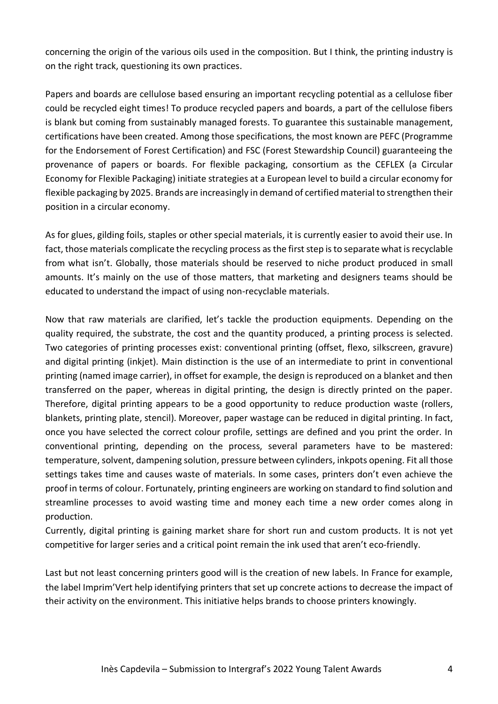concerning the origin of the various oils used in the composition. But I think, the printing industry is on the right track, questioning its own practices.

Papers and boards are cellulose based ensuring an important recycling potential as a cellulose fiber could be recycled eight times! To produce recycled papers and boards, a part of the cellulose fibers is blank but coming from sustainably managed forests. To guarantee this sustainable management, certifications have been created. Among those specifications, the most known are PEFC (Programme for the Endorsement of Forest Certification) and FSC (Forest Stewardship Council) guaranteeing the provenance of papers or boards. For flexible packaging, consortium as the CEFLEX (a Circular Economy for Flexible Packaging) initiate strategies at a European level to build a circular economy for flexible packaging by 2025. Brands are increasingly in demand of certified material to strengthen their position in a circular economy.

As for glues, gilding foils, staples or other special materials, it is currently easier to avoid their use. In fact, those materials complicate the recycling process as the first step is to separate what is recyclable from what isn't. Globally, those materials should be reserved to niche product produced in small amounts. It's mainly on the use of those matters, that marketing and designers teams should be educated to understand the impact of using non-recyclable materials.

Now that raw materials are clarified, let's tackle the production equipments. Depending on the quality required, the substrate, the cost and the quantity produced, a printing process is selected. Two categories of printing processes exist: conventional printing (offset, flexo, silkscreen, gravure) and digital printing (inkjet). Main distinction is the use of an intermediate to print in conventional printing (named image carrier), in offset for example, the design is reproduced on a blanket and then transferred on the paper, whereas in digital printing, the design is directly printed on the paper. Therefore, digital printing appears to be a good opportunity to reduce production waste (rollers, blankets, printing plate, stencil). Moreover, paper wastage can be reduced in digital printing. In fact, once you have selected the correct colour profile, settings are defined and you print the order. In conventional printing, depending on the process, several parameters have to be mastered: temperature, solvent, dampening solution, pressure between cylinders, inkpots opening. Fit all those settings takes time and causes waste of materials. In some cases, printers don't even achieve the proof in terms of colour. Fortunately, printing engineers are working on standard to find solution and streamline processes to avoid wasting time and money each time a new order comes along in production.

Currently, digital printing is gaining market share for short run and custom products. It is not yet competitive for larger series and a critical point remain the ink used that aren't eco-friendly.

Last but not least concerning printers good will is the creation of new labels. In France for example, the label Imprim'Vert help identifying printers that set up concrete actions to decrease the impact of their activity on the environment. This initiative helps brands to choose printers knowingly.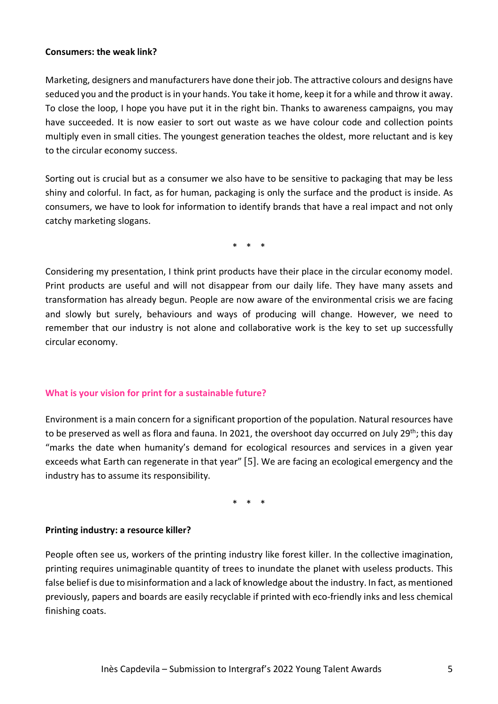#### **Consumers: the weak link?**

Marketing, designers and manufacturers have done their job. The attractive colours and designs have seduced you and the product is in your hands. You take it home, keep it for a while and throw it away. To close the loop, I hope you have put it in the right bin. Thanks to awareness campaigns, you may have succeeded. It is now easier to sort out waste as we have colour code and collection points multiply even in small cities. The youngest generation teaches the oldest, more reluctant and is key to the circular economy success.

Sorting out is crucial but as a consumer we also have to be sensitive to packaging that may be less shiny and colorful. In fact, as for human, packaging is only the surface and the product is inside. As consumers, we have to look for information to identify brands that have a real impact and not only catchy marketing slogans.

\* \* \*

Considering my presentation, I think print products have their place in the circular economy model. Print products are useful and will not disappear from our daily life. They have many assets and transformation has already begun. People are now aware of the environmental crisis we are facing and slowly but surely, behaviours and ways of producing will change. However, we need to remember that our industry is not alone and collaborative work is the key to set up successfully circular economy.

#### **What is your vision for print for a sustainable future?**

Environment is a main concern for a significant proportion of the population. Natural resources have to be preserved as well as flora and fauna. In 2021, the overshoot day occurred on July 29<sup>th</sup>; this day "marks the date when humanity's demand for ecological resources and services in a given year exceeds what Earth can regenerate in that year" [5]. We are facing an ecological emergency and the industry has to assume its responsibility.

\* \* \*

#### **Printing industry: a resource killer?**

People often see us, workers of the printing industry like forest killer. In the collective imagination, printing requires unimaginable quantity of trees to inundate the planet with useless products. This false belief is due to misinformation and a lack of knowledge about the industry. In fact, as mentioned previously, papers and boards are easily recyclable if printed with eco-friendly inks and less chemical finishing coats.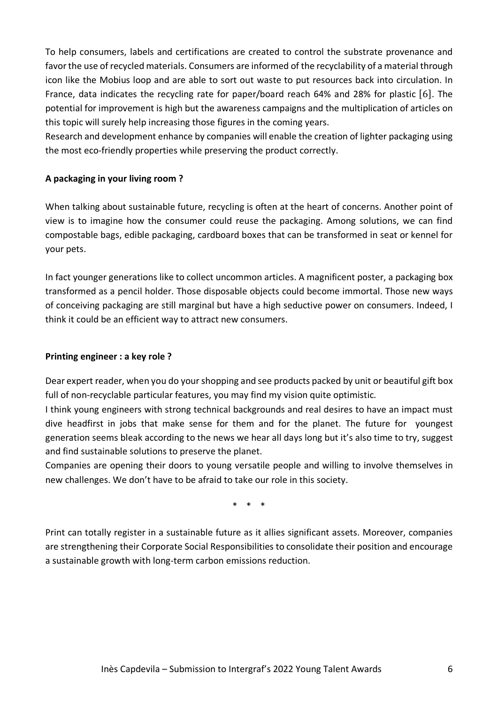To help consumers, labels and certifications are created to control the substrate provenance and favor the use of recycled materials. Consumers are informed of the recyclability of a material through icon like the Mobius loop and are able to sort out waste to put resources back into circulation. In France, data indicates the recycling rate for paper/board reach 64% and 28% for plastic [6]. The potential for improvement is high but the awareness campaigns and the multiplication of articles on this topic will surely help increasing those figures in the coming years.

Research and development enhance by companies will enable the creation of lighter packaging using the most eco-friendly properties while preserving the product correctly.

# **A packaging in your living room ?**

When talking about sustainable future, recycling is often at the heart of concerns. Another point of view is to imagine how the consumer could reuse the packaging. Among solutions, we can find compostable bags, edible packaging, cardboard boxes that can be transformed in seat or kennel for your pets.

In fact younger generations like to collect uncommon articles. A magnificent poster, a packaging box transformed as a pencil holder. Those disposable objects could become immortal. Those new ways of conceiving packaging are still marginal but have a high seductive power on consumers. Indeed, I think it could be an efficient way to attract new consumers.

## **Printing engineer : a key role ?**

Dear expert reader, when you do your shopping and see products packed by unit or beautiful gift box full of non-recyclable particular features, you may find my vision quite optimistic.

I think young engineers with strong technical backgrounds and real desires to have an impact must dive headfirst in jobs that make sense for them and for the planet. The future for youngest generation seems bleak according to the news we hear all days long but it's also time to try, suggest and find sustainable solutions to preserve the planet.

Companies are opening their doors to young versatile people and willing to involve themselves in new challenges. We don't have to be afraid to take our role in this society.

\* \* \*

Print can totally register in a sustainable future as it allies significant assets. Moreover, companies are strengthening their Corporate Social Responsibilities to consolidate their position and encourage a sustainable growth with long-term carbon emissions reduction.